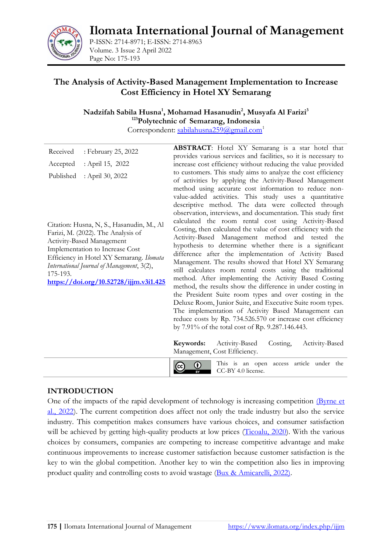**Ilomata International Journal of Management**



P-ISSN: 2714-8971; E-ISSN: 2714-8963 Volume. 3 Issue 2 April 2022 Page No: 175-193

# **The Analysis of Activity-Based Management Implementation to Increase Cost Efficiency in Hotel XY Semarang**

**Nadzifah Sabila Husna<sup>1</sup> , Mohamad Hasanudin<sup>2</sup> , Musyafa Al Farizi<sup>3</sup> <sup>123</sup>Polytechnic of Semarang, Indonesia** 

Correspondent: [sabilahusna259@gmail.com](mailto:sabilahusna259@gmail.com)<sup>1</sup>

| Received<br>: February 25, 2022                                                                                                                                                                                                                                                                 | <b>ABSTRACT:</b> Hotel XY Semarang is a star hotel that                                                                                                                                                                                                                                                                                                                                                                                                                                                                                                                                                                                                                                                                                                                                                                                                                                                                                                                                                                                                                                                                                                                                                       |
|-------------------------------------------------------------------------------------------------------------------------------------------------------------------------------------------------------------------------------------------------------------------------------------------------|---------------------------------------------------------------------------------------------------------------------------------------------------------------------------------------------------------------------------------------------------------------------------------------------------------------------------------------------------------------------------------------------------------------------------------------------------------------------------------------------------------------------------------------------------------------------------------------------------------------------------------------------------------------------------------------------------------------------------------------------------------------------------------------------------------------------------------------------------------------------------------------------------------------------------------------------------------------------------------------------------------------------------------------------------------------------------------------------------------------------------------------------------------------------------------------------------------------|
|                                                                                                                                                                                                                                                                                                 | provides various services and facilities, so it is necessary to                                                                                                                                                                                                                                                                                                                                                                                                                                                                                                                                                                                                                                                                                                                                                                                                                                                                                                                                                                                                                                                                                                                                               |
| : April 15, 2022<br>Accepted                                                                                                                                                                                                                                                                    | increase cost efficiency without reducing the value provided                                                                                                                                                                                                                                                                                                                                                                                                                                                                                                                                                                                                                                                                                                                                                                                                                                                                                                                                                                                                                                                                                                                                                  |
| Published<br>: April 30, 2022                                                                                                                                                                                                                                                                   | to customers. This study aims to analyze the cost efficiency                                                                                                                                                                                                                                                                                                                                                                                                                                                                                                                                                                                                                                                                                                                                                                                                                                                                                                                                                                                                                                                                                                                                                  |
| Citation: Husna, N, S., Hasanudin, M., Al<br>Farizi, M. (2022). The Analysis of<br>Activity-Based Management<br>Implementation to Increase Cost<br>Efficiency in Hotel XY Semarang. Ilomata<br>International Journal of Management, 3(2),<br>175-193.<br>https://doi.org/10.52728/ijjm.v3i1.425 | of activities by applying the Activity-Based Management<br>method using accurate cost information to reduce non-<br>value-added activities. This study uses a quantitative<br>descriptive method. The data were collected through<br>observation, interviews, and documentation. This study first<br>calculated the room rental cost using Activity-Based<br>Costing, then calculated the value of cost efficiency with the<br>Activity-Based Management method and tested the<br>hypothesis to determine whether there is a significant<br>difference after the implementation of Activity Based<br>Management. The results showed that Hotel XY Semarang<br>still calculates room rental costs using the traditional<br>method. After implementing the Activity Based Costing<br>method, the results show the difference in under costing in<br>the President Suite room types and over costing in the<br>Deluxe Room, Junior Suite, and Executive Suite room types.<br>The implementation of Activity Based Management can<br>reduce costs by Rp. 734.526.570 or increase cost efficiency<br>by 7.91% of the total cost of Rp. 9.287.146.443.<br>Activity-Based<br>Activity-Based<br>Keywords:<br>Costing, |
|                                                                                                                                                                                                                                                                                                 | Management, Cost Efficiency.                                                                                                                                                                                                                                                                                                                                                                                                                                                                                                                                                                                                                                                                                                                                                                                                                                                                                                                                                                                                                                                                                                                                                                                  |
|                                                                                                                                                                                                                                                                                                 | This is an open access article under the<br>cc<br>CC-BY 4.0 license.<br>BY                                                                                                                                                                                                                                                                                                                                                                                                                                                                                                                                                                                                                                                                                                                                                                                                                                                                                                                                                                                                                                                                                                                                    |

### **INTRODUCTION**

One of the impacts of the rapid development of technology is increasing competition [\(Byrne et](#page-16-0)  [al., 2022\)](#page-16-0). The current competition does affect not only the trade industry but also the service industry. This competition makes consumers have various choices, and consumer satisfaction will be achieved by getting high-quality products at low prices [\(Ticoalu, 2020\)](#page-17-0). With the various choices by consumers, companies are competing to increase competitive advantage and make continuous improvements to increase customer satisfaction because customer satisfaction is the key to win the global competition. Another key to win the competition also lies in improving product quality and controlling costs to avoid wastage [\(Bux & Amicarelli, 2022\).](#page-16-1)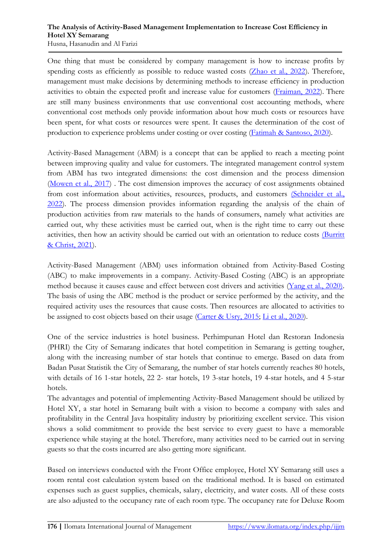#### **The Analysis of Activity-Based Management Implementation to Increase Cost Efficiency in Hotel XY Semarang**  Husna, Hasanudin and Al Farizi

One thing that must be considered by company management is how to increase profits by spending costs as efficiently as possible to reduce wasted costs [\(Zhao et al., 2022\)](#page-18-0). Therefore, management must make decisions by determining methods to increase efficiency in production activities to obtain the expected profit and increase value for customers [\(Fraiman, 2022\)](#page-16-2). There are still many business environments that use conventional cost accounting methods, where conventional cost methods only provide information about how much costs or resources have been spent, for what costs or resources were spent. It causes the determination of the cost of production to experience problems under costing or over costing [\(Fatimah & Santoso, 2020\)](#page-16-3).

Activity-Based Management (ABM) is a concept that can be applied to reach a meeting point between improving quality and value for customers. The integrated management control system from ABM has two integrated dimensions: the cost dimension and the process dimension [\(Mowen et al., 2017\)](#page-17-1) . The cost dimension improves the accuracy of cost assignments obtained from cost information about activities, resources, products, and customers [\(Schneider et al.,](#page-17-2)  [2022\)](#page-17-2). The process dimension provides information regarding the analysis of the chain of production activities from raw materials to the hands of consumers, namely what activities are carried out, why these activities must be carried out, when is the right time to carry out these activities, then how an activity should be carried out with an orientation to reduce costs [\(Burritt](#page-16-4)  [& Christ, 2021\)](#page-16-4).

Activity-Based Management (ABM) uses information obtained from Activity-Based Costing (ABC) to make improvements in a company. Activity-Based Costing (ABC) is an appropriate method because it causes cause and effect between cost drivers and activities [\(Yang et al., 2020\).](#page-17-3) The basis of using the ABC method is the product or service performed by the activity, and the required activity uses the resources that cause costs. Then resources are allocated to activities to be assigned to cost objects based on their usage [\(Carter & Usry, 2015;](#page-16-5) [Li et al., 2020\)](#page-17-4).

One of the service industries is hotel business. Perhimpunan Hotel dan Restoran Indonesia (PHRI) the City of Semarang indicates that hotel competition in Semarang is getting tougher, along with the increasing number of star hotels that continue to emerge. Based on data from Badan Pusat Statistik the City of Semarang, the number of star hotels currently reaches 80 hotels, with details of 16 1-star hotels, 22 2- star hotels, 19 3-star hotels, 19 4-star hotels, and 4 5-star hotels.

The advantages and potential of implementing Activity-Based Management should be utilized by Hotel XY, a star hotel in Semarang built with a vision to become a company with sales and profitability in the Central Java hospitality industry by prioritizing excellent service. This vision shows a solid commitment to provide the best service to every guest to have a memorable experience while staying at the hotel. Therefore, many activities need to be carried out in serving guests so that the costs incurred are also getting more significant.

Based on interviews conducted with the Front Office employee, Hotel XY Semarang still uses a room rental cost calculation system based on the traditional method. It is based on estimated expenses such as guest supplies, chemicals, salary, electricity, and water costs. All of these costs are also adjusted to the occupancy rate of each room type. The occupancy rate for Deluxe Room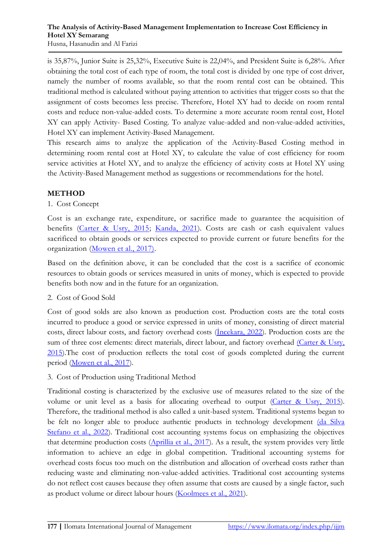is 35,87%, Junior Suite is 25,32%, Executive Suite is 22,04%, and President Suite is 6,28%. After obtaining the total cost of each type of room, the total cost is divided by one type of cost driver, namely the number of rooms available, so that the room rental cost can be obtained. This traditional method is calculated without paying attention to activities that trigger costs so that the assignment of costs becomes less precise. Therefore, Hotel XY had to decide on room rental costs and reduce non-value-added costs. To determine a more accurate room rental cost, Hotel XY can apply Activity- Based Costing. To analyze value-added and non-value-added activities, Hotel XY can implement Activity-Based Management.

This research aims to analyze the application of the Activity-Based Costing method in determining room rental cost at Hotel XY, to calculate the value of cost efficiency for room service activities at Hotel XY, and to analyze the efficiency of activity costs at Hotel XY using the Activity-Based Management method as suggestions or recommendations for the hotel.

### **METHOD**

#### 1. Cost Concept

Cost is an exchange rate, expenditure, or sacrifice made to guarantee the acquisition of benefits [\(Carter & Usry, 2015;](#page-16-5) [Kanda, 2021\)](#page-17-5). Costs are cash or cash equivalent values sacrificed to obtain goods or services expected to provide current or future benefits for the organization [\(Mowen et al., 2017\).](#page-17-1)

Based on the definition above, it can be concluded that the cost is a sacrifice of economic resources to obtain goods or services measured in units of money, which is expected to provide benefits both now and in the future for an organization.

### 2. Cost of Good Sold

Cost of good solds are also known as production cost. Production costs are the total costs incurred to produce a good or service expressed in units of money, consisting of direct material costs, direct labour costs, and factory overhead costs ([İncekara, 2022](#page-16-6)). Production costs are the sum of three cost elements: direct materials, direct labour, and factory overhead (Carter & Usry, [2015\)](#page-16-5).The cost of production reflects the total cost of goods completed during the current period [\(Mowen et al., 2017\)](#page-17-1).

### 3. Cost of Production using Traditional Method

Traditional costing is characterized by the exclusive use of measures related to the size of the volume or unit level as a basis for allocating overhead to output [\(Carter & Usry, 2015\)](#page-16-5). Therefore, the traditional method is also called a unit-based system. Traditional systems began to be felt no longer able to produce authentic products in technology development (da Silva [Stefano et al., 2022\)](#page-16-7). Traditional cost accounting systems focus on emphasizing the objectives that determine production costs [\(Aprillia et al., 2017\)](#page-16-8). As a result, the system provides very little information to achieve an edge in global competition. Traditional accounting systems for overhead costs focus too much on the distribution and allocation of overhead costs rather than reducing waste and eliminating non-value-added activities. Traditional cost accounting systems do not reflect cost causes because they often assume that costs are caused by a single factor, such as product volume or direct labour hours [\(Koolmees et al., 2021\)](#page-17-6).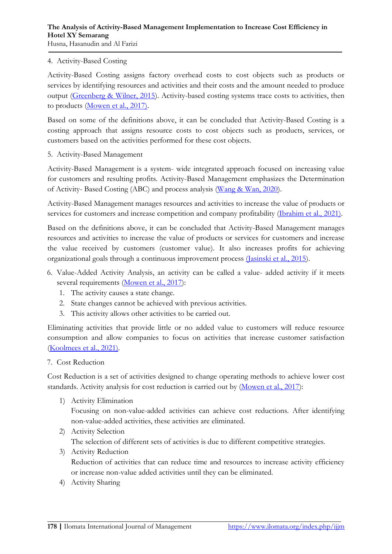#### 4. Activity-Based Costing

Activity-Based Costing assigns factory overhead costs to cost objects such as products or services by identifying resources and activities and their costs and the amount needed to produce output [\(Greenberg & Wilner, 2015\)](#page-16-9). Activity-based costing systems trace costs to activities, then to products [\(Mowen et al., 2017\).](#page-17-1)

Based on some of the definitions above, it can be concluded that Activity-Based Costing is a costing approach that assigns resource costs to cost objects such as products, services, or customers based on the activities performed for these cost objects.

5. Activity-Based Management

Activity-Based Management is a system- wide integrated approach focused on increasing value for customers and resulting profits. Activity-Based Management emphasizes the Determination of Activity- Based Costing (ABC) and process analysis [\(Wang & Wan, 2020\)](#page-17-7).

Activity-Based Management manages resources and activities to increase the value of products or services for customers and increase competition and company profitability [\(Ibrahim et al., 2021\).](#page-16-10)

Based on the definitions above, it can be concluded that Activity-Based Management manages resources and activities to increase the value of products or services for customers and increase the value received by customers (customer value). It also increases profits for achieving organizational goals through a continuous improvement process [\(Jasinski et al., 2015\)](#page-17-8).

- 6. Value-Added Activity Analysis, an activity can be called a value- added activity if it meets several requirements [\(Mowen et al., 2017\)](#page-17-1):
	- 1. The activity causes a state change.
	- 2. State changes cannot be achieved with previous activities.
	- 3. This activity allows other activities to be carried out.

Eliminating activities that provide little or no added value to customers will reduce resource consumption and allow companies to focus on activities that increase customer satisfaction [\(Koolmees et al., 2021\).](#page-17-6)

7. Cost Reduction

Cost Reduction is a set of activities designed to change operating methods to achieve lower cost standards. Activity analysis for cost reduction is carried out by [\(Mowen et al., 2017\)](#page-17-1):

1) Activity Elimination

Focusing on non-value-added activities can achieve cost reductions. After identifying non-value-added activities, these activities are eliminated.

2) Activity Selection

The selection of different sets of activities is due to different competitive strategies.

- 3) Activity Reduction Reduction of activities that can reduce time and resources to increase activity efficiency or increase non-value added activities until they can be eliminated.
- 4) Activity Sharing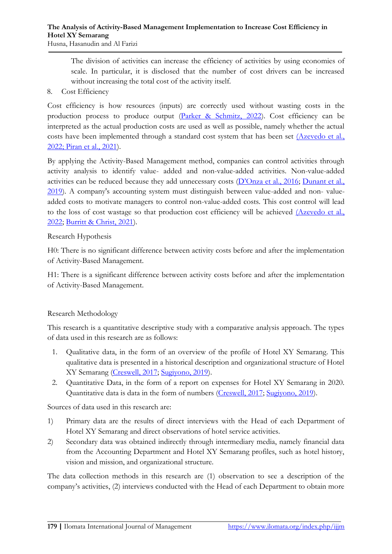The division of activities can increase the efficiency of activities by using economies of scale. In particular, it is disclosed that the number of cost drivers can be increased without increasing the total cost of the activity itself.

#### 8. Cost Efficiency

Cost efficiency is how resources (inputs) are correctly used without wasting costs in the production process to produce output [\(Parker & Schmitz, 2022\)](#page-17-9). Cost efficiency can be interpreted as the actual production costs are used as well as possible, namely whether the actual costs have been implemented through a standard cost system that has been set [\(Azevedo et al.,](#page-16-11)  [2022;](#page-16-11) [Piran et al., 2021\)](#page-17-10).

By applying the Activity-Based Management method, companies can control activities through activity analysis to identify value- added and non-value-added activities. Non-value-added activities can be reduced because they add unnecessary costs ([D'Onza et al., 2016](#page-16-12); Dunant et al., [2019\)](#page-16-13). A company's accounting system must distinguish between value-added and non- valueadded costs to motivate managers to control non-value-added costs. This cost control will lead to the loss of cost wastage so that production cost efficiency will be achieved (Azevedo et al., [2022;](#page-16-11) [Burritt & Christ, 2021\)](#page-16-4).

#### Research Hypothesis

H0: There is no significant difference between activity costs before and after the implementation of Activity-Based Management.

H1: There is a significant difference between activity costs before and after the implementation of Activity-Based Management.

### Research Methodology

This research is a quantitative descriptive study with a comparative analysis approach. The types of data used in this research are as follows:

- 1. Qualitative data, in the form of an overview of the profile of Hotel XY Semarang. This qualitative data is presented in a historical description and organizational structure of Hotel XY Semarang [\(Creswell, 2017;](#page-16-14) [Sugiyono, 2019\)](#page-17-11).
- 2. Quantitative Data, in the form of a report on expenses for Hotel XY Semarang in 2020. Quantitative data is data in the form of numbers [\(Creswell, 2017;](#page-16-14) [Sugiyono, 2019\)](#page-17-11).

Sources of data used in this research are:

- 1) Primary data are the results of direct interviews with the Head of each Department of Hotel XY Semarang and direct observations of hotel service activities.
- 2) Secondary data was obtained indirectly through intermediary media, namely financial data from the Accounting Department and Hotel XY Semarang profiles, such as hotel history, vision and mission, and organizational structure.

The data collection methods in this research are (1) observation to see a description of the company's activities, (2) interviews conducted with the Head of each Department to obtain more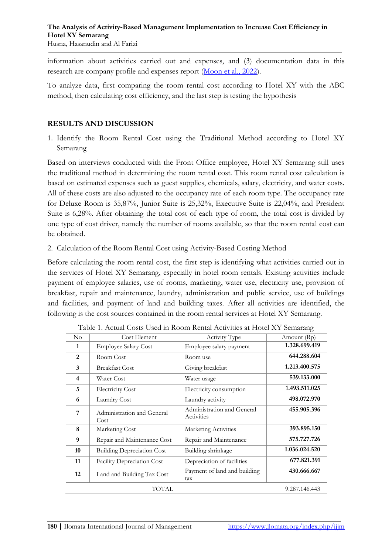information about activities carried out and expenses, and (3) documentation data in this research are company profile and expenses report [\(Moon et al., 2022\)](#page-17-12).

To analyze data, first comparing the room rental cost according to Hotel XY with the ABC method, then calculating cost efficiency, and the last step is testing the hypothesis

### **RESULTS AND DISCUSSION**

1. Identify the Room Rental Cost using the Traditional Method according to Hotel XY Semarang

Based on interviews conducted with the Front Office employee, Hotel XY Semarang still uses the traditional method in determining the room rental cost. This room rental cost calculation is based on estimated expenses such as guest supplies, chemicals, salary, electricity, and water costs. All of these costs are also adjusted to the occupancy rate of each room type. The occupancy rate for Deluxe Room is 35,87%, Junior Suite is 25,32%, Executive Suite is 22,04%, and President Suite is 6,28%. After obtaining the total cost of each type of room, the total cost is divided by one type of cost driver, namely the number of rooms available, so that the room rental cost can be obtained.

2. Calculation of the Room Rental Cost using Activity-Based Costing Method

Before calculating the room rental cost, the first step is identifying what activities carried out in the services of Hotel XY Semarang, especially in hotel room rentals. Existing activities include payment of employee salaries, use of rooms, marketing, water use, electricity use, provision of breakfast, repair and maintenance, laundry, administration and public service, use of buildings and facilities, and payment of land and building taxes. After all activities are identified, the following is the cost sources contained in the room rental services at Hotel XY Semarang.

| $\rm No$ | Cost Element                       | Activity Type                            | Amount (Rp)   |
|----------|------------------------------------|------------------------------------------|---------------|
| 1        | <b>Employee Salary Cost</b>        | Employee salary payment                  | 1.328.699.419 |
| 2        | Room Cost                          | Room use                                 | 644.288.604   |
| 3        | <b>Breakfast Cost</b>              | Giving breakfast                         | 1.213.400.575 |
| 4        | Water Cost                         | Water usage                              | 539.133.000   |
| 5        | <b>Electricity Cost</b>            | Electricity consumption                  | 1.493.511.025 |
| 6        | Laundry Cost                       | Laundry activity                         | 498.072.970   |
| 7        | Administration and General<br>Cost | Administration and General<br>Activities | 455.905.396   |
| 8        | Marketing Cost                     | Marketing Activities                     | 393.895.150   |
| 9        | Repair and Maintenance Cost        | Repair and Maintenance                   | 575.727.726   |
| 10       | <b>Building Depreciation Cost</b>  | Building shrinkage                       | 1.036.024.520 |
| 11       | Facility Depreciation Cost         | Depreciation of facilities               | 677.821.391   |
| 12       | Land and Building Tax Cost         | Payment of land and building<br>tax      | 430.666.667   |
|          | <b>TOTAL</b>                       |                                          | 9.287.146.443 |

Table 1. Actual Costs Used in Room Rental Activities at Hotel XY Semarang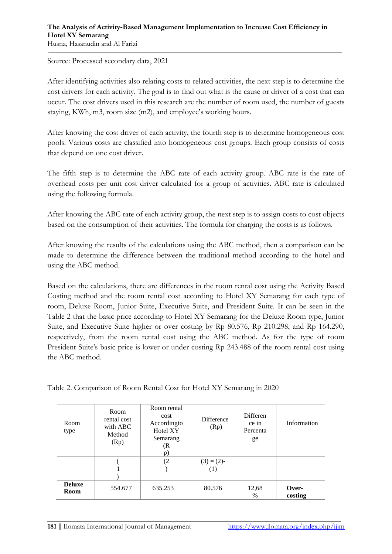Source: Processed secondary data, 2021

After identifying activities also relating costs to related activities, the next step is to determine the cost drivers for each activity. The goal is to find out what is the cause or driver of a cost that can occur. The cost drivers used in this research are the number of room used, the number of guests staying, KWh, m3, room size (m2), and employee's working hours.

After knowing the cost driver of each activity, the fourth step is to determine homogeneous cost pools. Various costs are classified into homogeneous cost groups. Each group consists of costs that depend on one cost driver.

The fifth step is to determine the ABC rate of each activity group. ABC rate is the rate of overhead costs per unit cost driver calculated for a group of activities. ABC rate is calculated using the following formula.

After knowing the ABC rate of each activity group, the next step is to assign costs to cost objects based on the consumption of their activities. The formula for charging the costs is as follows.

After knowing the results of the calculations using the ABC method, then a comparison can be made to determine the difference between the traditional method according to the hotel and using the ABC method.

Based on the calculations, there are differences in the room rental cost using the Activity Based Costing method and the room rental cost according to Hotel XY Semarang for each type of room, Deluxe Room, Junior Suite, Executive Suite, and President Suite. It can be seen in the Table 2 that the basic price according to Hotel XY Semarang for the Deluxe Room type, Junior Suite, and Executive Suite higher or over costing by Rp 80.576, Rp 210.298, and Rp 164.290, respectively, from the room rental cost using the ABC method. As for the type of room President Suite's basic price is lower or under costing Rp 243.488 of the room rental cost using the ABC method.

Table 2. Comparison of Room Rental Cost for Hotel XY Semarang in 2020

| Room<br>type          | Room rental<br>Room<br>cost<br>rental cost<br>Accordingto<br>with ABC<br>Hotel XY<br>Method<br>Semarang<br>(Rp)<br>(R<br>p) |         | Difference<br>(Rp)   | Differen<br>ce in<br>Percenta<br>ge | Information      |
|-----------------------|-----------------------------------------------------------------------------------------------------------------------------|---------|----------------------|-------------------------------------|------------------|
|                       |                                                                                                                             | (2)     | $(3) = (2)$ -<br>(1) |                                     |                  |
| <b>Deluxe</b><br>Room | 554.677                                                                                                                     | 635.253 | 80.576               | 12,68<br>$\%$                       | Over-<br>costing |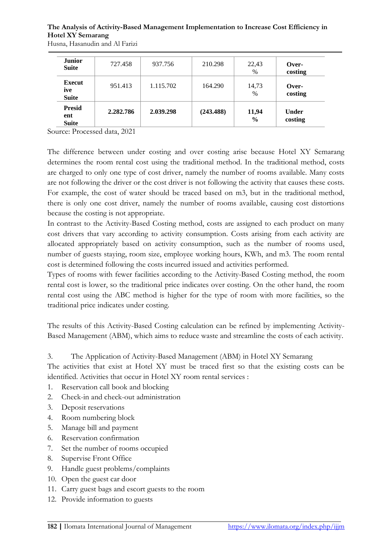| <b>Junior</b><br><b>Suite</b>        | 727.458   | 937.756   | 210.298   | 22,43<br>%             | Over-<br>costing        |
|--------------------------------------|-----------|-----------|-----------|------------------------|-------------------------|
| <b>Execut</b><br>ive<br><b>Suite</b> | 951.413   | 1.115.702 | 164.290   | 14,73<br>$\%$          | Over-<br>costing        |
| <b>Presid</b><br>ent<br><b>Suite</b> | 2.282.786 | 2.039.298 | (243.488) | 11,94<br>$\frac{0}{0}$ | <b>Under</b><br>costing |

Husna, Hasanudin and Al Farizi

Source: Processed data, 2021

The difference between under costing and over costing arise because Hotel XY Semarang determines the room rental cost using the traditional method. In the traditional method, costs are charged to only one type of cost driver, namely the number of rooms available. Many costs are not following the driver or the cost driver is not following the activity that causes these costs. For example, the cost of water should be traced based on m3, but in the traditional method, there is only one cost driver, namely the number of rooms available, causing cost distortions because the costing is not appropriate.

In contrast to the Activity-Based Costing method, costs are assigned to each product on many cost drivers that vary according to activity consumption. Costs arising from each activity are allocated appropriately based on activity consumption, such as the number of rooms used, number of guests staying, room size, employee working hours, KWh, and m3. The room rental cost is determined following the costs incurred issued and activities performed.

Types of rooms with fewer facilities according to the Activity-Based Costing method, the room rental cost is lower, so the traditional price indicates over costing. On the other hand, the room rental cost using the ABC method is higher for the type of room with more facilities, so the traditional price indicates under costing.

The results of this Activity-Based Costing calculation can be refined by implementing Activity-Based Management (ABM), which aims to reduce waste and streamline the costs of each activity.

3. The Application of Activity-Based Management (ABM) in Hotel XY Semarang

The activities that exist at Hotel XY must be traced first so that the existing costs can be identified. Activities that occur in Hotel XY room rental services :

- 1. Reservation call book and blocking
- 2. Check-in and check-out administration
- 3. Deposit reservations
- 4. Room numbering block
- 5. Manage bill and payment
- 6. Reservation confirmation
- 7. Set the number of rooms occupied
- 8. Supervise Front Office
- 9. Handle guest problems/complaints
- 10. Open the guest car door
- 11. Carry guest bags and escort guests to the room
- 12. Provide information to guests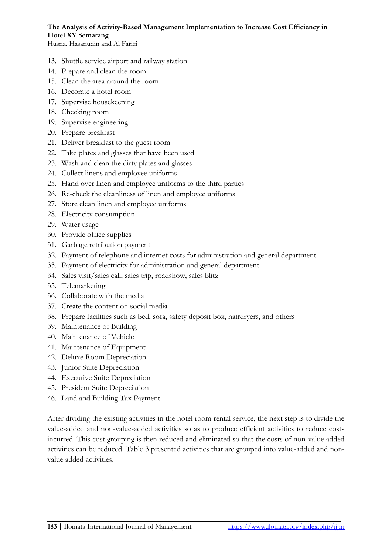- 13. Shuttle service airport and railway station 14. Prepare and clean the room
- 15. Clean the area around the room
- 16. Decorate a hotel room
- 17. Supervise housekeeping
- 18. Checking room
- 19. Supervise engineering
- 20. Prepare breakfast
- 21. Deliver breakfast to the guest room
- 22. Take plates and glasses that have been used
- 23. Wash and clean the dirty plates and glasses
- 24. Collect linens and employee uniforms
- 25. Hand over linen and employee uniforms to the third parties
- 26. Re-check the cleanliness of linen and employee uniforms
- 27. Store clean linen and employee uniforms
- 28. Electricity consumption
- 29. Water usage
- 30. Provide office supplies
- 31. Garbage retribution payment
- 32. Payment of telephone and internet costs for administration and general department
- 33. Payment of electricity for administration and general department
- 34. Sales visit/sales call, sales trip, roadshow, sales blitz
- 35. Telemarketing
- 36. Collaborate with the media
- 37. Create the content on social media
- 38. Prepare facilities such as bed, sofa, safety deposit box, hairdryers, and others
- 39. Maintenance of Building
- 40. Maintenance of Vehicle
- 41. Maintenance of Equipment
- 42. Deluxe Room Depreciation
- 43. Junior Suite Depreciation
- 44. Executive Suite Depreciation
- 45. President Suite Depreciation
- 46. Land and Building Tax Payment

After dividing the existing activities in the hotel room rental service, the next step is to divide the value-added and non-value-added activities so as to produce efficient activities to reduce costs incurred. This cost grouping is then reduced and eliminated so that the costs of non-value added activities can be reduced. Table 3 presented activities that are grouped into value-added and nonvalue added activities.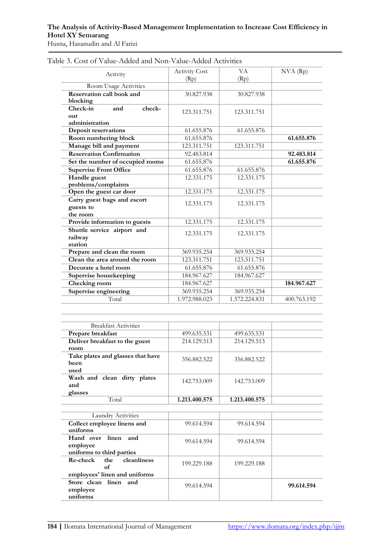Husna, Hasanudin and Al Farizi

| Activity                              | <b>Activity Cost</b> | VA            | $NVA$ $(Rp)$ |
|---------------------------------------|----------------------|---------------|--------------|
|                                       | (Rp)                 | (Rp)          |              |
| Room Usage Activities                 |                      |               |              |
| Reservation call book and<br>blocking | 30.827.938           | 30.827.938    |              |
| Check-in<br>check-<br>and             | 123.311.751          | 123.311.751   |              |
| out                                   |                      |               |              |
| administration                        |                      |               |              |
| Deposit reservations                  | 61.655.876           | 61.655.876    |              |
| Room numbering block                  | 61.655.876           |               | 61.655.876   |
| Manage bill and payment               | 123.311.751          | 123.311.751   |              |
| <b>Reservation Confirmation</b>       | 92.483.814           |               | 92.483.814   |
| Set the number of occupied rooms      | 61.655.876           |               | 61.655.876   |
| <b>Supervise Front Office</b>         | 61.655.876           | 61.655.876    |              |
| Handle guest                          | 12.331.175           | 12.331.175    |              |
| problems/complaints                   |                      |               |              |
| Open the guest car door               | 12.331.175           | 12.331.175    |              |
| Carry guest bags and escort           | 12.331.175           | 12.331.175    |              |
| guests to                             |                      |               |              |
| the room                              |                      |               |              |
| Provide information to guests         | 12.331.175           | 12.331.175    |              |
| Shuttle service airport and           | 12.331.175           | 12.331.175    |              |
| railway                               |                      |               |              |
| station                               |                      |               |              |
| Prepare and clean the room            | 369.935.254          | 369.935.254   |              |
| Clean the area around the room        | 123.311.751          | 123.311.751   |              |
| Decorate a hotel room                 | 61.655.876           | 61.655.876    |              |
| Supervise housekeeping                | 184.967.627          | 184.967.627   |              |
| Checking room                         | 184.967.627          |               | 184.967.627  |
| Supervise engineering                 | 369.935.254          | 369.935.254   |              |
| Total                                 | 1.972.988.023        | 1.572.224.831 | 400.763.192  |

Table 3. Cost of Value-Added and Non-Value-Added Activities

| <b>Breakfast Activities</b>       |               |               |            |
|-----------------------------------|---------------|---------------|------------|
| Prepare breakfast                 | 499.635.531   | 499.635.531   |            |
| Deliver breakfast to the guest    | 214.129.513   | 214.129.513   |            |
| room                              |               |               |            |
| Take plates and glasses that have | 356.882.522   | 356.882.522   |            |
| been                              |               |               |            |
| used                              |               |               |            |
| Wash and clean dirty plates       | 142.753.009   | 142.753.009   |            |
| and                               |               |               |            |
| glasses                           |               |               |            |
| Total                             | 1.213.400.575 | 1.213.400.575 |            |
|                                   |               |               |            |
| Laundry Activities                |               |               |            |
| Collect employee linens and       | 99.614.594    | 99.614.594    |            |
| uniforms                          |               |               |            |
| Hand over<br>linen<br>and         | 99.614.594    | 99.614.594    |            |
| employee                          |               |               |            |
| uniforms to third parties         |               |               |            |
| cleanliness<br>Re-check<br>the    | 199.229.188   | 199.229.188   |            |
| of                                |               |               |            |
| employees' linen and uniforms     |               |               |            |
| Store clean linen and             | 99.614.594    |               | 99.614.594 |
| employee                          |               |               |            |
| uniforms                          |               |               |            |
|                                   |               |               |            |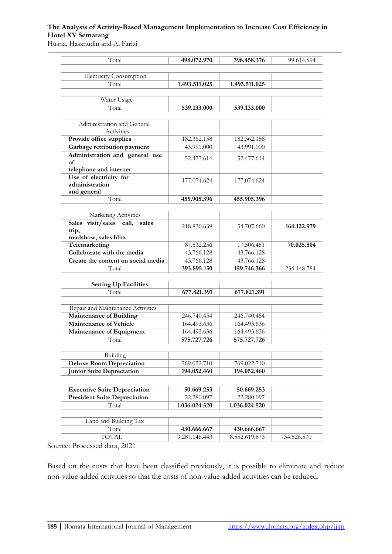Husna, Hasanudin and Al Farizi

| Total                                                               | 498.072.970   | 398.458.376   | 99.614.594  |
|---------------------------------------------------------------------|---------------|---------------|-------------|
|                                                                     |               |               |             |
| <b>Electricity Consumption</b>                                      |               |               |             |
| Total                                                               | 1.493.511.025 | 1.493.511.025 |             |
| Water Usage                                                         |               |               |             |
| Total                                                               | 539.133.000   | 539.133.000   |             |
|                                                                     |               |               |             |
| Administration and General                                          |               |               |             |
| Activities                                                          |               |               |             |
| Provide office supplies                                             | 182.362.158   | 182.362.158   |             |
| Garbage retribution payment                                         | 43.991.000    | 43.991.000    |             |
| Administration and general use                                      | 52.477.614    | 52.477.614    |             |
| of                                                                  |               |               |             |
| telephone and internet                                              |               |               |             |
| Use of electricity for                                              | 177.074.624   | 177.074.624   |             |
| administration                                                      |               |               |             |
| and general                                                         |               |               |             |
| Total                                                               | 455.905.396   | 455.905.396   |             |
| Marketing Activities                                                |               |               |             |
| Sales visit/sales call,<br>sales                                    |               |               |             |
| trip,                                                               | 218.830.639   | 54.707.660    | 164.122.979 |
| roadshow, sales blitz                                               |               |               |             |
| Telemarketing                                                       | 87.532.256    | 17.506.451    | 70.025.804  |
| Collaborate with the media                                          | 43.766.128    | 43.766.128    |             |
| Create the content on social media                                  | 43.766.128    | 43.766.128    |             |
| Total                                                               | 393.895.150   | 159.746.366   | 234.148.784 |
|                                                                     |               |               |             |
| <b>Setting Up Facilities</b>                                        |               |               |             |
| Total                                                               | 677.821.391   | 677.821.391   |             |
|                                                                     |               |               |             |
| Repair and Maintenance Activities<br><b>Maintenance of Building</b> | 246.740.454   | 246.740.454   |             |
| <b>Maintenance of Vehicle</b>                                       |               |               |             |
|                                                                     | 164.493.636   | 164.493.636   |             |
| Maintenance of Equipment                                            | 164.493.636   | 164.493.636   |             |
| Total                                                               | 575.727.726   | 575.727.726   |             |
| Building                                                            |               |               |             |
| <b>Deluxe Room Depreciation</b>                                     | 769.022.710   | 769.022.710   |             |
| <b>Junior Suite Depreciation</b>                                    | 194.052.460   | 194.052.460   |             |
|                                                                     |               |               |             |
| <b>Executive Suite Depreciation</b>                                 | 50.669.253    | 50.669.253    |             |
| <b>President Suite Depreciation</b>                                 | 22.280.097    | 22.280.097    |             |
| Total                                                               | 1.036.024.520 | 1.036.024.520 |             |
|                                                                     |               |               |             |
| Land and Building Tax                                               |               |               |             |
| Total                                                               | 430.666.667   | 430.666.667   |             |
| <b>TOTAL</b>                                                        |               |               |             |

Source: Processed data, 2021

Based on the costs that have been classified previously, it is possible to eliminate and reduce non-value-added activities so that the costs of non-value-added activities can be reduced.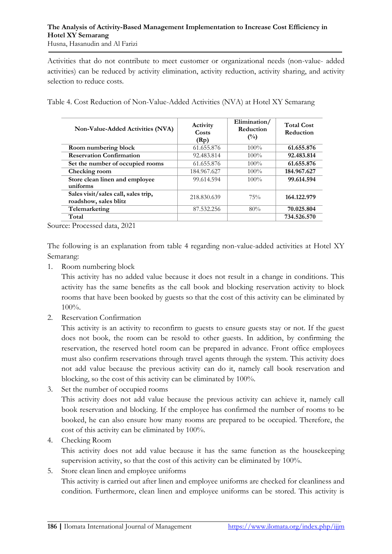Activities that do not contribute to meet customer or organizational needs (non-value- added activities) can be reduced by activity elimination, activity reduction, activity sharing, and activity selection to reduce costs.

|  | Table 4. Cost Reduction of Non-Value-Added Activities (NVA) at Hotel XY Semarang |
|--|----------------------------------------------------------------------------------|
|  |                                                                                  |

| Non-Value-Added Activities (NVA)                             | Activity<br>Costs<br>(Rp) | Elimination/<br>Reduction<br>$(\%)$ | <b>Total Cost</b><br>Reduction |
|--------------------------------------------------------------|---------------------------|-------------------------------------|--------------------------------|
| Room numbering block                                         | 61.655.876                | $100\%$                             | 61.655.876                     |
| <b>Reservation Confirmation</b>                              | 92.483.814                | $100\%$                             | 92.483.814                     |
| Set the number of occupied rooms                             | 61.655.876                | $100\%$                             | 61.655.876                     |
| Checking room                                                | 184.967.627               | $100\%$                             | 184.967.627                    |
| Store clean linen and employee<br>uniforms                   | 99.614.594                | $100\%$                             | 99.614.594                     |
| Sales visit/sales call, sales trip,<br>roadshow, sales blitz | 218.830.639               | 75%                                 | 164.122.979                    |
| Telemarketing                                                | 87.532.256                | 80%                                 | 70.025.804                     |
| Total                                                        |                           |                                     | 734.526.570                    |

Source: Processed data, 2021

The following is an explanation from table 4 regarding non-value-added activities at Hotel XY Semarang:

1. Room numbering block

This activity has no added value because it does not result in a change in conditions. This activity has the same benefits as the call book and blocking reservation activity to block rooms that have been booked by guests so that the cost of this activity can be eliminated by 100%.

2. Reservation Confirmation

This activity is an activity to reconfirm to guests to ensure guests stay or not. If the guest does not book, the room can be resold to other guests. In addition, by confirming the reservation, the reserved hotel room can be prepared in advance. Front office employees must also confirm reservations through travel agents through the system. This activity does not add value because the previous activity can do it, namely call book reservation and blocking, so the cost of this activity can be eliminated by 100%.

3. Set the number of occupied rooms

This activity does not add value because the previous activity can achieve it, namely call book reservation and blocking. If the employee has confirmed the number of rooms to be booked, he can also ensure how many rooms are prepared to be occupied. Therefore, the cost of this activity can be eliminated by 100%.

4. Checking Room

This activity does not add value because it has the same function as the housekeeping supervision activity, so that the cost of this activity can be eliminated by 100%.

5. Store clean linen and employee uniforms

This activity is carried out after linen and employee uniforms are checked for cleanliness and condition. Furthermore, clean linen and employee uniforms can be stored. This activity is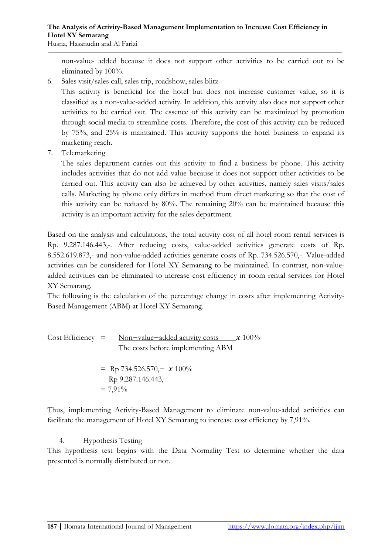non-value- added because it does not support other activities to be carried out to be eliminated by 100%.

6. Sales visit/sales call, sales trip, roadshow, sales blitz

This activity is beneficial for the hotel but does not increase customer value, so it is classified as a non-value-added activity. In addition, this activity also does not support other activities to be carried out. The essence of this activity can be maximized by promotion through social media to streamline costs. Therefore, the cost of this activity can be reduced by 75%, and 25% is maintained. This activity supports the hotel business to expand its marketing reach.

7. Telemarketing

The sales department carries out this activity to find a business by phone. This activity includes activities that do not add value because it does not support other activities to be carried out. This activity can also be achieved by other activities, namely sales visits/sales calls. Marketing by phone only differs in method from direct marketing so that the cost of this activity can be reduced by 80%. The remaining 20% can be maintained because this activity is an important activity for the sales department.

Based on the analysis and calculations, the total activity cost of all hotel room rental services is Rp. 9.287.146.443,-. After reducing costs, value-added activities generate costs of Rp. 8.552.619.873,- and non-value-added activities generate costs of Rp. 734.526.570,-. Value-added activities can be considered for Hotel XY Semarang to be maintained. In contrast, non-valueadded activities can be eliminated to increase cost efficiency in room rental services for Hotel XY Semarang.

The following is the calculation of the percentage change in costs after implementing Activity-Based Management (ABM) at Hotel XY Semarang.

Cost Efficiency = 
$$
\frac{\text{Non-value} - \text{added activity costs}}{\text{The costs before implementing ABM}}
$$
  
=  $\frac{\text{Rp } 734.526.570, - \mathbf{x} 100\%}{\text{Rp } 9.287.146.443, -}$   
=  $7,91\%$ 

Thus, implementing Activity-Based Management to eliminate non-value-added activities can facilitate the management of Hotel XY Semarang to increase cost efficiency by 7,91%.

## 4. Hypothesis Testing

This hypothesis test begins with the Data Normality Test to determine whether the data presented is normally distributed or not.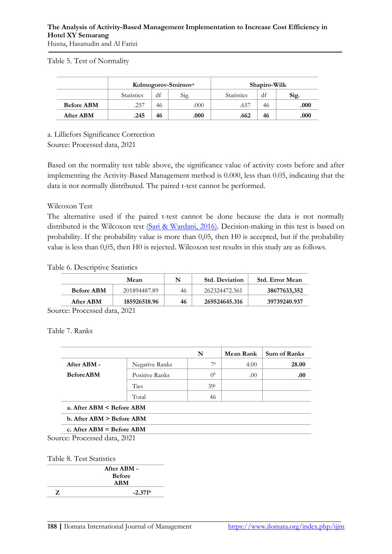### Table 5. Test of Normality

|                   | Kolmogorov-Smirnov <sup>a</sup> |    |      |                   | Shapiro-Wilk |      |
|-------------------|---------------------------------|----|------|-------------------|--------------|------|
|                   | <b>Statistics</b>               | dt | Sig. | <b>Statistics</b> | df           | Sig. |
| <b>Before ABM</b> | .257                            | 46 | .000 | .657              | 46           | .000 |
| <b>After ABM</b>  | .245                            | 46 | .000 | .662              | 46           | .000 |

a. Lilliefors Significance Correction

Source: Processed data, 2021

Based on the normality test table above, the significance value of activity costs before and after implementing the Activity-Based Management method is 0.000, less than 0.05, indicating that the data is not normally distributed. The paired t-test cannot be performed.

Wilcoxon Test

The alternative used if the paired t-test cannot be done because the data is not normally distributed is the Wilcoxon test [\(Sari & Wardani, 2016\).](#page-17-13) Decision-making in this test is based on probability. If the probability value is more than 0,05, then H0 is accepted, but if the probability value is less than 0,05, then H0 is rejected. Wilcoxon test results in this study are as follows.

Table 6. Descriptive Statistics

|                   | Mean         |    | <b>Std. Deviation</b> | <b>Std. Error Mean</b> |
|-------------------|--------------|----|-----------------------|------------------------|
| <b>Before ABM</b> | 201894487.89 | 46 | 262324472.361         | 38677633,352           |
| After ABM         | 185926518.96 | 46 | 269524645.316         | 39739240.937           |
| __                |              |    |                       |                        |

Source: Processed data, 2021

Table 7. Ranks

|                               |                | N              | Mean Rank | <b>Sum of Ranks</b> |
|-------------------------------|----------------|----------------|-----------|---------------------|
| After ABM -                   | Negative Ranks | $7^{\rm a}$    | 4.00      | 28.00               |
| <b>Before ABM</b>             | Positive Ranks | 0 <sub>p</sub> | .00       | .00                 |
|                               | Ties           | 39c            |           |                     |
|                               | Total          | 46             |           |                     |
| a. After ABM < Before ABM     |                |                |           |                     |
| b. After $ABM >$ Before $ABM$ |                |                |           |                     |
| c. After $ABM = Before ABM$   |                |                |           |                     |
| $P_1 = 11.0004$               |                |                |           |                     |

Source: Processed data, 2021

#### Table 8. Test Statistics

| After ABM -   |
|---------------|
| <b>Before</b> |
| <b>ABM</b>    |
| $-2.371b$     |
|               |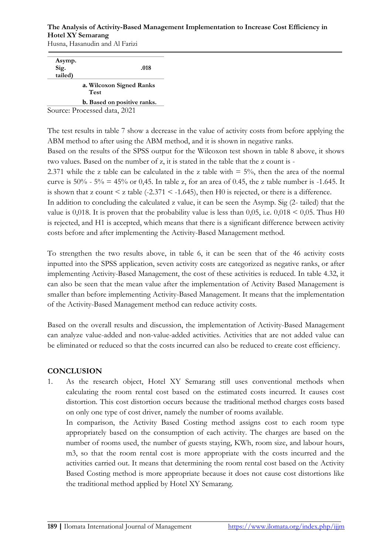Husna, Hasanudin and Al Farizi

| Asymp.  |                                    |
|---------|------------------------------------|
| Sig.    | .018                               |
| tailed) |                                    |
|         | a. Wilcoxon Signed Ranks<br>Test   |
|         | <b>b.</b> Based on positive ranks. |
|         | Source: Processed data, 2021       |

The test results in table 7 show a decrease in the value of activity costs from before applying the ABM method to after using the ABM method, and it is shown in negative ranks.

Based on the results of the SPSS output for the Wilcoxon test shown in table 8 above, it shows two values. Based on the number of z, it is stated in the table that the z count is -

2.371 while the z table can be calculated in the z table with  $=$  5%, then the area of the normal curve is  $50\%$  -  $5\%$  = 45% or 0,45. In table z, for an area of 0.45, the z table number is -1.645. It is shown that z count  $\leq$  z table (-2.371  $\leq$  -1.645), then H0 is rejected, or there is a difference.

In addition to concluding the calculated z value, it can be seen the Asymp. Sig (2- tailed) that the value is 0,018. It is proven that the probability value is less than 0,05, i.e.  $0,018 \le 0,05$ . Thus H0 is rejected, and H1 is accepted, which means that there is a significant difference between activity costs before and after implementing the Activity-Based Management method.

To strengthen the two results above, in table 6, it can be seen that of the 46 activity costs inputted into the SPSS application, seven activity costs are categorized as negative ranks, or after implementing Activity-Based Management, the cost of these activities is reduced. In table 4.32, it can also be seen that the mean value after the implementation of Activity Based Management is smaller than before implementing Activity-Based Management. It means that the implementation of the Activity-Based Management method can reduce activity costs.

Based on the overall results and discussion, the implementation of Activity-Based Management can analyze value-added and non-value-added activities. Activities that are not added value can be eliminated or reduced so that the costs incurred can also be reduced to create cost efficiency.

### **CONCLUSION**

1. As the research object, Hotel XY Semarang still uses conventional methods when calculating the room rental cost based on the estimated costs incurred. It causes cost distortion. This cost distortion occurs because the traditional method charges costs based on only one type of cost driver, namely the number of rooms available.

In comparison, the Activity Based Costing method assigns cost to each room type appropriately based on the consumption of each activity. The charges are based on the number of rooms used, the number of guests staying, KWh, room size, and labour hours, m3, so that the room rental cost is more appropriate with the costs incurred and the activities carried out. It means that determining the room rental cost based on the Activity Based Costing method is more appropriate because it does not cause cost distortions like the traditional method applied by Hotel XY Semarang.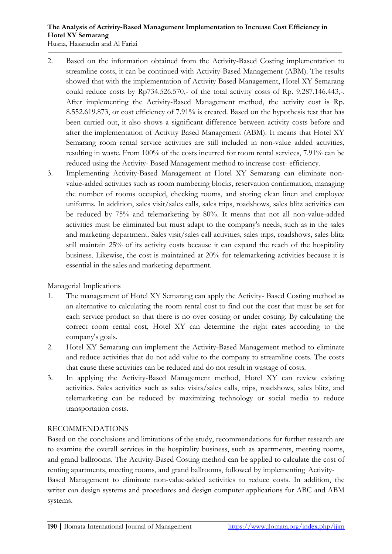- 2. Based on the information obtained from the Activity-Based Costing implementation to streamline costs, it can be continued with Activity-Based Management (ABM). The results showed that with the implementation of Activity Based Management, Hotel XY Semarang could reduce costs by Rp734.526.570,- of the total activity costs of Rp. 9.287.146.443,-. After implementing the Activity-Based Management method, the activity cost is Rp. 8.552.619.873, or cost efficiency of 7.91% is created. Based on the hypothesis test that has been carried out, it also shows a significant difference between activity costs before and after the implementation of Activity Based Management (ABM). It means that Hotel XY Semarang room rental service activities are still included in non-value added activities, resulting in waste. From 100% of the costs incurred for room rental services, 7.91% can be reduced using the Activity- Based Management method to increase cost- efficiency.
- 3. Implementing Activity-Based Management at Hotel XY Semarang can eliminate nonvalue-added activities such as room numbering blocks, reservation confirmation, managing the number of rooms occupied, checking rooms, and storing clean linen and employee uniforms. In addition, sales visit/sales calls, sales trips, roadshows, sales blitz activities can be reduced by 75% and telemarketing by 80%. It means that not all non-value-added activities must be eliminated but must adapt to the company's needs, such as in the sales and marketing department. Sales visit/sales call activities, sales trips, roadshows, sales blitz still maintain 25% of its activity costs because it can expand the reach of the hospitality business. Likewise, the cost is maintained at 20% for telemarketing activities because it is essential in the sales and marketing department.

### Managerial Implications

- 1. The management of Hotel XY Semarang can apply the Activity- Based Costing method as an alternative to calculating the room rental cost to find out the cost that must be set for each service product so that there is no over costing or under costing. By calculating the correct room rental cost, Hotel XY can determine the right rates according to the company's goals.
- 2. Hotel XY Semarang can implement the Activity-Based Management method to eliminate and reduce activities that do not add value to the company to streamline costs. The costs that cause these activities can be reduced and do not result in wastage of costs.
- 3. In applying the Activity-Based Management method, Hotel XY can review existing activities. Sales activities such as sales visits/sales calls, trips, roadshows, sales blitz, and telemarketing can be reduced by maximizing technology or social media to reduce transportation costs.

### RECOMMENDATIONS

Based on the conclusions and limitations of the study, recommendations for further research are to examine the overall services in the hospitality business, such as apartments, meeting rooms, and grand ballrooms. The Activity-Based Costing method can be applied to calculate the cost of renting apartments, meeting rooms, and grand ballrooms, followed by implementing Activity-

Based Management to eliminate non-value-added activities to reduce costs. In addition, the writer can design systems and procedures and design computer applications for ABC and ABM systems.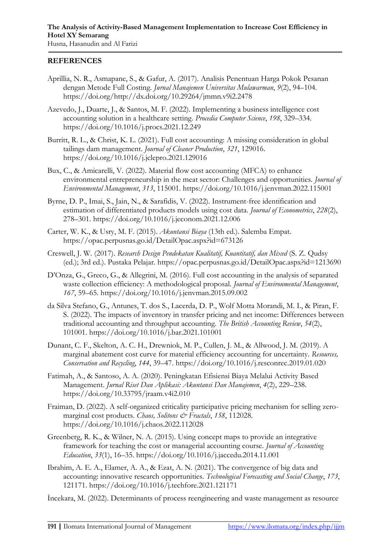#### **REFERENCES**

- <span id="page-16-8"></span>Aprillia, N. R., Asmapane, S., & Gafur, A. (2017). Analisis Penentuan Harga Pokok Pesanan dengan Metode Full Costing. *Jurnal Manajemen Universitas Mulawarman*, *9*(2), 94–104. https://doi.org/http://dx.doi.org/10.29264/jmmn.v9i2.2478
- <span id="page-16-11"></span>Azevedo, J., Duarte, J., & Santos, M. F. (2022). Implementing a business intelligence cost accounting solution in a healthcare setting. *Procedia Computer Science*, *198*, 329–334. https://doi.org/10.1016/j.procs.2021.12.249
- <span id="page-16-4"></span>Burritt, R. L., & Christ, K. L. (2021). Full cost accounting: A missing consideration in global tailings dam management. *Journal of Cleaner Production*, *321*, 129016. https://doi.org/10.1016/j.jclepro.2021.129016
- <span id="page-16-1"></span>Bux, C., & Amicarelli, V. (2022). Material flow cost accounting (MFCA) to enhance environmental entrepreneurship in the meat sector: Challenges and opportunities. *Journal of Environmental Management*, *313*, 115001. https://doi.org/10.1016/j.jenvman.2022.115001
- <span id="page-16-0"></span>Byrne, D. P., Imai, S., Jain, N., & Sarafidis, V. (2022). Instrument-free identification and estimation of differentiated products models using cost data. *Journal of Econometrics*, *228*(2), 278–301. https://doi.org/10.1016/j.jeconom.2021.12.006
- <span id="page-16-5"></span>Carter, W. K., & Usry, M. F. (2015). *Akuntansi Biaya* (13th ed.). Salemba Empat. https://opac.perpusnas.go.id/DetailOpac.aspx?id=673126
- <span id="page-16-14"></span>Creswell, J. W. (2017). *Research Design Pendekatan Kualitatif, Kuantitatif, dan Mixed* (S. Z. Qudsy (ed.); 3rd ed.). Pustaka Pelajar. https://opac.perpusnas.go.id/DetailOpac.aspx?id=1213690
- <span id="page-16-12"></span>D'Onza, G., Greco, G., & Allegrini, M. (2016). Full cost accounting in the analysis of separated waste collection efficiency: A methodological proposal. *Journal of Environmental Management*, *167*, 59–65. https://doi.org/10.1016/j.jenvman.2015.09.002
- <span id="page-16-7"></span>da Silva Stefano, G., Antunes, T. dos S., Lacerda, D. P., Wolf Motta Morandi, M. I., & Piran, F. S. (2022). The impacts of inventory in transfer pricing and net income: Differences between traditional accounting and throughput accounting. *The British Accounting Review*, *54*(2), 101001. https://doi.org/10.1016/j.bar.2021.101001
- <span id="page-16-13"></span>Dunant, C. F., Skelton, A. C. H., Drewniok, M. P., Cullen, J. M., & Allwood, J. M. (2019). A marginal abatement cost curve for material efficiency accounting for uncertainty. *Resources, Conservation and Recycling*, *144*, 39–47. https://doi.org/10.1016/j.resconrec.2019.01.020
- <span id="page-16-3"></span>Fatimah, A., & Santoso, A. A. (2020). Peningkatan Efisiensi Biaya Melalui Activity Based Management. *Jurnal Riset Dan Aplikasi: Akuntansi Dan Manajemen*, *4*(2), 229–238. https://doi.org/10.33795/jraam.v4i2.010
- <span id="page-16-2"></span>Fraiman, D. (2022). A self-organized criticality participative pricing mechanism for selling zeromarginal cost products. *Chaos, Solitons & Fractals*, *158*, 112028. https://doi.org/10.1016/j.chaos.2022.112028
- <span id="page-16-9"></span>Greenberg, R. K., & Wilner, N. A. (2015). Using concept maps to provide an integrative framework for teaching the cost or managerial accounting course. *Journal of Accounting Education*, *33*(1), 16–35. https://doi.org/10.1016/j.jaccedu.2014.11.001
- <span id="page-16-10"></span>Ibrahim, A. E. A., Elamer, A. A., & Ezat, A. N. (2021). The convergence of big data and accounting: innovative research opportunities. *Technological Forecasting and Social Change*, *173*, 121171. https://doi.org/10.1016/j.techfore.2021.121171
- <span id="page-16-6"></span>İncekara, M. (2022). Determinants of process reengineering and waste management as resource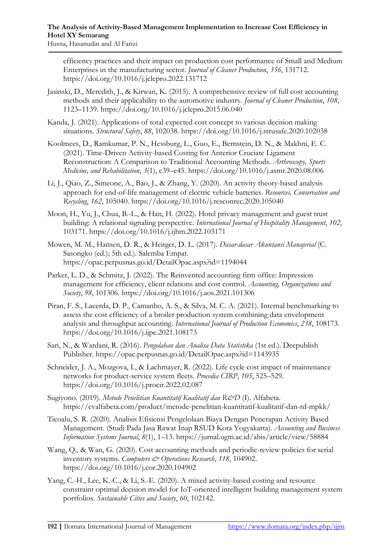efficiency practices and their impact on production cost performance of Small and Medium Enterprises in the manufacturing sector. *Journal of Cleaner Production*, *356*, 131712. https://doi.org/10.1016/j.jclepro.2022.131712

- <span id="page-17-8"></span>Jasinski, D., Meredith, J., & Kirwan, K. (2015). A comprehensive review of full cost accounting methods and their applicability to the automotive industry. *Journal of Cleaner Production*, *108*, 1123–1139. https://doi.org/10.1016/j.jclepro.2015.06.040
- <span id="page-17-5"></span>Kanda, J. (2021). Applications of total expected cost concept to various decision making situations. *Structural Safety*, *88*, 102038. https://doi.org/10.1016/j.strusafe.2020.102038
- <span id="page-17-6"></span>Koolmees, D., Ramkumar, P. N., Hessburg, L., Guo, E., Bernstein, D. N., & Makhni, E. C. (2021). Time-Driven Activity-based Costing for Anterior Cruciate Ligament Reconstruction: A Comparison to Traditional Accounting Methods. *Arthroscopy, Sports Medicine, and Rehabilitation*, *3*(1), e39–e45. https://doi.org/10.1016/j.asmr.2020.08.006
- <span id="page-17-4"></span>Li, J., Qiao, Z., Simeone, A., Bao, J., & Zhang, Y. (2020). An activity theory-based analysis approach for end-of-life management of electric vehicle batteries. *Resources, Conservation and Recycling*, *162*, 105040. https://doi.org/10.1016/j.resconrec.2020.105040
- <span id="page-17-12"></span>Moon, H., Yu, J., Chua, B.-L., & Han, H. (2022). Hotel privacy management and guest trust building: A relational signaling perspective. *International Journal of Hospitality Management*, *102*, 103171. https://doi.org/10.1016/j.ijhm.2022.103171

<span id="page-17-1"></span>Mowen, M. M., Hansen, D. R., & Heitger, D. L. (2017). *Dasar-dasar Akuntansi Manajerial* (C. Sasongko (ed.); 5th ed.). Salemba Empat. https://opac.perpusnas.go.id/DetailOpac.aspx?id=1194044

- <span id="page-17-9"></span>Parker, L. D., & Schmitz, J. (2022). The Reinvented accounting firm office: Impression management for efficiency, client relations and cost control. *Accounting, Organizations and Society*, *98*, 101306. https://doi.org/10.1016/j.aos.2021.101306
- <span id="page-17-10"></span>Piran, F. S., Lacerda, D. P., Camanho, A. S., & Silva, M. C. A. (2021). Internal benchmarking to assess the cost efficiency of a broiler production system combining data envelopment analysis and throughput accounting. *International Journal of Production Economics*, *238*, 108173. https://doi.org/10.1016/j.ijpe.2021.108173
- <span id="page-17-13"></span>Sari, N., & Wardani, R. (2016). *Pengolahan dan Analisa Data Statistika* (1st ed.). Deepublish Publisher. https://opac.perpusnas.go.id/DetailOpac.aspx?id=1143935
- <span id="page-17-2"></span>Schneider, J. A., Mozgova, I., & Lachmayer, R. (2022). Life cycle cost impact of maintenance networks for product-service system fleets. *Procedia CIRP*, *105*, 525–529. https://doi.org/10.1016/j.procir.2022.02.087
- <span id="page-17-11"></span>Sugiyono. (2019). *Metode Penelitian Kuantitatif Kualitatif dan R&D* (I). Alfabeta. https://cvalfabeta.com/product/metode-penelitian-kuantitatif-kualitatif-dan-rd-mpkk/
- <span id="page-17-0"></span>Ticoalu, S. R. (2020). Analisis Efisiensi Pengelolaan Biaya Dengan Penerapan Activity Based Management. (Studi Pada Jasa Rawat Inap RSUD Kota Yogyakarta). *Accounting and Business Information Systems Journal*, *8*(1), 1–13. https://jurnal.ugm.ac.id/abis/article/view/58884
- <span id="page-17-7"></span>Wang, Q., & Wan, G. (2020). Cost accounting methods and periodic-review policies for serial inventory systems. *Computers & Operations Research*, 118, 104902. https://doi.org/10.1016/j.cor.2020.104902
- <span id="page-17-3"></span>Yang, C.-H., Lee, K.-C., & Li, S.-E. (2020). A mixed activity-based costing and resource constraint optimal decision model for IoT-oriented intelligent building management system portfolios. *Sustainable Cities and Society*, *60*, 102142.